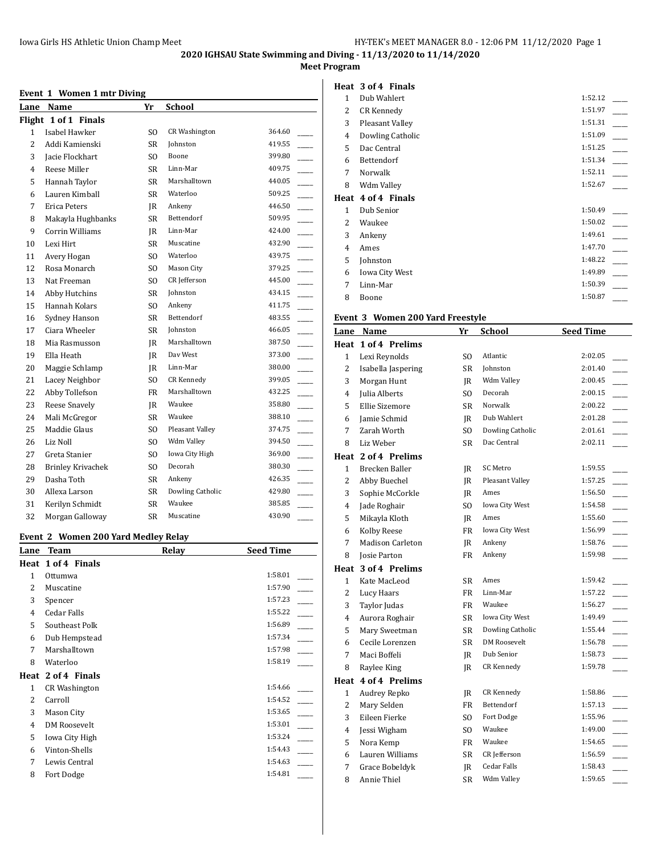#### **Meet Program**

## **Event 1 Women 1 mtr Diving**

|                | Lane Name                | Yr             | <b>School</b>        |                                    |
|----------------|--------------------------|----------------|----------------------|------------------------------------|
|                | Flight 1 of 1 Finals     |                |                      |                                    |
| $\mathbf{1}$   | Isabel Hawker            | SO.            | <b>CR Washington</b> | 364.60                             |
| $\overline{2}$ | Addi Kamienski           | <b>SR</b>      | Johnston             | 419.55                             |
| 3              | Jacie Flockhart          | S <sub>O</sub> | Boone                | 399.80                             |
| 4              | Reese Miller             | <b>SR</b>      | Linn-Mar             | 409.75                             |
| 5              | Hannah Taylor            | <b>SR</b>      | Marshalltown         | 440.05                             |
| 6              | Lauren Kimball           | SR             | Waterloo             | $\overline{\phantom{a}}$<br>509.25 |
| 7              | Erica Peters             | JR             | Ankeny               | 446.50<br>$\overline{\phantom{a}}$ |
| 8              | Makayla Hughbanks        | <b>SR</b>      | Bettendorf           | 509.95                             |
| 9              | <b>Corrin Williams</b>   | JR             | Linn-Mar             | 424.00<br><u>.</u>                 |
| 10             | Lexi Hirt                | <b>SR</b>      | Muscatine            | 432.90<br>$\overline{\phantom{a}}$ |
| 11             | Avery Hogan              | S <sub>O</sub> | Waterloo             | 439.75                             |
| 12             | Rosa Monarch             | S <sub>O</sub> | Mason City           | 379.25<br>$\mathbb{R}^2$           |
| 13             | Nat Freeman              | S <sub>O</sub> | CR Jefferson         | 445.00                             |
| 14             | Abby Hutchins            | <b>SR</b>      | Johnston             | 434.15                             |
| 15             | Hannah Kolars            | S <sub>O</sub> | Ankeny               | $\overline{a}$<br>411.75           |
| 16             | Sydney Hanson            | <b>SR</b>      | Bettendorf           | 483.55                             |
| 17             | Ciara Wheeler            | <b>SR</b>      | Johnston             | 466.05<br>$\overline{\phantom{a}}$ |
| 18             | Mia Rasmusson            | JR             | Marshalltown         | 387.50                             |
| 19             | Ella Heath               | JR             | Day West             | 373.00<br>$\overline{\phantom{a}}$ |
| 20             | Maggie Schlamp           | IR             | Linn-Mar             | $\overline{a}$<br>380.00           |
| 21             | Lacey Neighbor           | SO.            | <b>CR Kennedy</b>    | $\overline{\phantom{a}}$<br>399.05 |
| 22             | Abby Tollefson           | <b>FR</b>      | Marshalltown         | 432.25<br>$\overline{\phantom{a}}$ |
| 23             | Reese Snavely            | IR.            | Waukee               | 358.80                             |
| 24             | Mali McGregor            | <b>SR</b>      | Waukee               | 388.10                             |
| 25             | Maddie Glaus             | S <sub>O</sub> | Pleasant Valley      | 374.75                             |
| 26             | Liz Noll                 | S <sub>O</sub> | Wdm Valley           | 394.50                             |
| 27             | Greta Stanier            | S <sub>O</sub> | Iowa City High       | 369.00                             |
| 28             | <b>Brinley Krivachek</b> | S <sub>O</sub> | Decorah              | 380.30                             |
| 29             | Dasha Toth               | <b>SR</b>      | Ankeny               | 426.35                             |
| 30             | Allexa Larson            | <b>SR</b>      | Dowling Catholic     | 429.80                             |
| 31             | Kerilyn Schmidt          | SR             | Waukee               | 385.85                             |
| 32             | Morgan Galloway          | <b>SR</b>      | Muscatine            | 430.90                             |

#### **Event 2 Women 200 Yard Medley Relay**

| Lane                     | <b>Team</b>          | Relay<br><b>Seed Time</b> |  |
|--------------------------|----------------------|---------------------------|--|
|                          | Heat 1 of 4 Finals   |                           |  |
| 1                        | Ottumwa              | 1:58.01                   |  |
| 2                        | Muscatine            | 1:57.90                   |  |
| 3                        | Spencer              | 1:57.23                   |  |
| 4                        | Cedar Falls          | 1:55.22                   |  |
| 5                        | Southeast Polk       | 1:56.89                   |  |
| 6                        | Dub Hempstead        | 1:57.34                   |  |
| 7                        | Marshalltown         | 1:57.98                   |  |
| 8                        | Waterloo             | 1:58.19                   |  |
|                          | Heat 2 of 4 Finals   |                           |  |
| 1                        | <b>CR Washington</b> | 1:54.66                   |  |
| $\overline{\mathcal{L}}$ | Carroll              | 1:54.52                   |  |
| 3                        | Mason City           | 1:53.65                   |  |
| 4                        | DM Roosevelt         | 1:53.01                   |  |
| 5                        | Iowa City High       | 1:53.24                   |  |
| 6                        | Vinton-Shells        | 1:54.43                   |  |
| 7                        | Lewis Central        | 1:54.63                   |  |
| 8                        | Fort Dodge           | 1:54.81                   |  |
|                          |                      |                           |  |

|              | Heat 3 of 4 Finals    |         |
|--------------|-----------------------|---------|
| $\mathbf{1}$ | Dub Wahlert           | 1:52.12 |
| 2            | CR Kennedy            | 1:51.97 |
| 3            | Pleasant Valley       | 1:51.31 |
| 4            | Dowling Catholic      | 1:51.09 |
| 5            | Dac Central           | 1:51.25 |
| 6            | Bettendorf            | 1:51.34 |
| 7            | Norwalk               | 1:52.11 |
| 8            | Wdm Valley            | 1:52.67 |
| Heat         | 4 of 4 Finals         |         |
|              |                       |         |
| $\mathbf{1}$ | Dub Senior            | 1:50.49 |
| 2            | Waukee                | 1:50.02 |
| 3            | Ankeny                | 1:49.61 |
| 4            | Ames                  | 1:47.70 |
| 5            | Johnston              | 1:48.22 |
| 6            | <b>Iowa City West</b> | 1:49.89 |
| 7            | Linn-Mar              | 1:50.39 |

# **Event 3 Women 200 Yard Freestyle**

| Lane           | Name                    | Yr        | <b>School</b>         | <b>Seed Time</b> |
|----------------|-------------------------|-----------|-----------------------|------------------|
| Heat           | 1 of 4 Prelims          |           |                       |                  |
| $\mathbf{1}$   | Lexi Reynolds           | SO        | Atlantic              | 2:02.05          |
| 2              | Isabella Jaspering      | SR        | Johnston              | 2:01.40          |
| 3              | Morgan Hunt             | <b>IR</b> | Wdm Valley            | 2:00.45          |
| $\overline{4}$ | Julia Alberts           | SO.       | Decorah               | 2:00.15          |
| 5              | Ellie Sizemore          | <b>SR</b> | Norwalk               | 2:00.22          |
| 6              | Jamie Schmid            | JR        | Dub Wahlert           | 2:01.28          |
| 7              | Zarah Worth             | SO.       | Dowling Catholic      | 2:01.61          |
| 8              | Liz Weber               | SR        | Dac Central           | 2:02.11          |
|                | Heat 2 of 4 Prelims     |           |                       |                  |
| $\mathbf{1}$   | Brecken Baller          | JR        | SC Metro              | 1:59.55          |
| 2              | Abby Buechel            | JR        | Pleasant Valley       | 1:57.25          |
| 3              | Sophie McCorkle         | JR        | Ames                  | 1:56.50          |
| 4              | Jade Roghair            | SO.       | <b>Iowa City West</b> | 1:54.58          |
| 5              | Mikayla Kloth           | <b>IR</b> | Ames                  | 1:55.60          |
| 6              | Kolby Reese             | FR        | Iowa City West        | 1:56.99          |
| 7              | <b>Madison Carleton</b> | JR        | Ankeny                | 1:58.76          |
| 8              | <b>Josie Parton</b>     | <b>FR</b> | Ankeny                | 1:59.98          |
|                | Heat 3 of 4 Prelims     |           |                       |                  |
| $\mathbf{1}$   | Kate MacLeod            | SR        | Ames                  | 1:59.42          |
| $\overline{2}$ | Lucy Haars              | FR        | Linn-Mar              | 1:57.22          |
| 3              | Taylor Judas            | FR        | Waukee                | 1:56.27          |
| 4              | Aurora Roghair          | SR        | Iowa City West        | 1:49.49          |
| 5              | Mary Sweetman           | SR        | Dowling Catholic      | 1:55.44          |
| 6              | Cecile Lorenzen         | <b>SR</b> | <b>DM Roosevelt</b>   | 1:56.78          |
| 7              | Maci Boffeli            | JR        | Dub Senior            | 1:58.73          |
| 8              | Raylee King             | <b>IR</b> | <b>CR Kennedy</b>     | 1:59.78          |
|                | Heat 4 of 4 Prelims     |           |                       |                  |
| $\mathbf{1}$   | Audrey Repko            | IR        | <b>CR Kennedy</b>     | 1:58.86          |
| 2              | Mary Selden             | FR        | Bettendorf            | 1:57.13          |
| 3              | Eileen Fierke           | SO.       | Fort Dodge            | 1:55.96          |
| $\overline{4}$ | Jessi Wigham            | SO.       | Waukee                | 1:49.00          |
| 5              | Nora Kemp               | FR        | Waukee                | 1:54.65          |
| 6              | Lauren Williams         | <b>SR</b> | CR Jefferson          | 1:56.59          |
| 7              | Grace Bobeldyk          | <b>IR</b> | Cedar Falls           | 1:58.43          |
| 8              | Annie Thiel             | SR        | Wdm Valley            | 1:59.65          |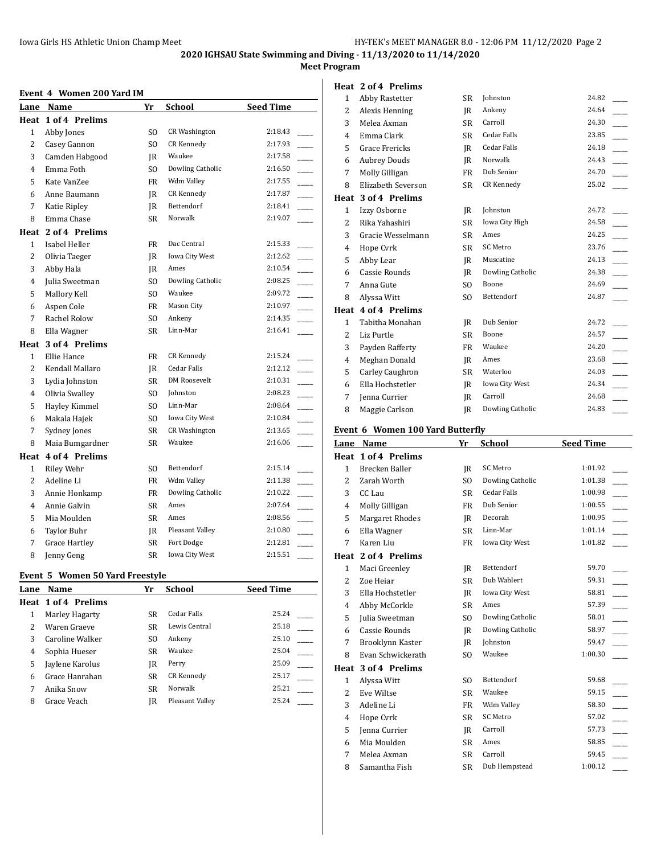#### **Meet Program**

#### **Event 4 Women 200 Yard IM**

|                | Lane Name            | Yr        | <b>School</b>        | <b>Seed Time</b> |
|----------------|----------------------|-----------|----------------------|------------------|
|                | Heat 1 of 4 Prelims  |           |                      |                  |
| $\mathbf{1}$   | Abby Jones           | SO.       | <b>CR Washington</b> | 2:18.43          |
| $\overline{2}$ | Casey Gannon         | SO.       | <b>CR</b> Kennedy    | 2:17.93          |
| 3              | Camden Habgood       | IR        | Waukee               | 2:17.58          |
| 4              | Emma Foth            | SO.       | Dowling Catholic     | 2:16.50          |
| 5              | Kate VanZee          | FR        | Wdm Valley           | 2:17.55          |
| 6              | Anne Baumann         | IR        | CR Kennedy           | 2:17.87          |
| 7              | Katie Ripley         | IR        | Bettendorf           | 2:18.41          |
| 8              | Emma Chase           | SR        | Norwalk              | 2:19.07          |
|                | Heat 2 of 4 Prelims  |           |                      |                  |
| $\mathbf{1}$   | Isabel Heller        | FR        | Dac Central          | 2:15.33          |
| $\overline{2}$ | Olivia Taeger        | IR        | Iowa City West       | 2:12.62          |
| 3              | Abby Hala            | IR        | Ames                 | 2:10.54          |
| 4              | Julia Sweetman       | SO.       | Dowling Catholic     | 2:08.25          |
| 5              | Mallory Kell         | SO.       | Waukee               | 2:09.72          |
| 6              | Aspen Cole           | FR        | Mason City           | 2:10.97          |
| 7              | Rachel Rolow         | SO.       | Ankeny               | 2:14.35          |
| 8              | Ella Wagner          | <b>SR</b> | Linn-Mar             | 2:16.41          |
|                | Heat 3 of 4 Prelims  |           |                      |                  |
| $\mathbf{1}$   | Ellie Hance          | FR        | CR Kennedy           | 2:15.24          |
| $\overline{2}$ | Kendall Mallaro      | IR        | Cedar Falls          | 2:12.12          |
| 3              | Lydia Johnston       | SR        | <b>DM Roosevelt</b>  | 2:10.31          |
| 4              | Olivia Swalley       | SO.       | Johnston             | 2:08.23          |
| 5              | Hayley Kimmel        | SO.       | Linn-Mar             | 2:08.64          |
| 6              | Makala Hajek         | SO.       | Iowa City West       | 2:10.84          |
| 7              | Sydney Jones         | SR        | <b>CR Washington</b> | 2:13.65          |
| 8              | Maia Bumgardner      | SR        | Waukee               | 2:16.06          |
| Heat           | 4 of 4 Prelims       |           |                      |                  |
| $\mathbf{1}$   | Riley Wehr           | SO.       | Bettendorf           | 2:15.14          |
| $\overline{2}$ | Adeline Li           | FR        | Wdm Valley           | 2:11.38          |
| 3              | Annie Honkamp        | FR        | Dowling Catholic     | 2:10.22          |
| 4              | Annie Galvin         | SR        | Ames                 | 2:07.64          |
| 5              | Mia Moulden          | SR        | Ames                 | 2:08.56          |
| 6              | <b>Taylor Buhr</b>   | IR        | Pleasant Valley      | 2:10.80          |
| 7              | <b>Grace Hartley</b> | SR        | Fort Dodge           | 2:12.81          |
| 8              | Jenny Geng           | SR        | Iowa City West       | 2:15.51          |

#### **Event 5 Women 50 Yard Freestyle**

| Lane | Name                | Yr        | School          | <b>Seed Time</b> |
|------|---------------------|-----------|-----------------|------------------|
|      | Heat 1 of 4 Prelims |           |                 |                  |
|      | Marley Hagarty      | <b>SR</b> | Cedar Falls     | 25.24            |
| 2    | Waren Graeve        | SR        | Lewis Central   | 25.18            |
| 3    | Caroline Walker     | SO.       | Ankeny          | 25.10            |
| 4    | Sophia Hueser       | <b>SR</b> | Waukee          | 25.04            |
| 5    | Jaylene Karolus     | IR        | Perry           | 25.09            |
| 6    | Grace Hanrahan      | <b>SR</b> | CR Kennedy      | 25.17            |
|      | Anika Snow          | <b>SR</b> | Norwalk         | 25.21            |
| 8    | Grace Veach         | IR        | Pleasant Valley | 25.24            |
|      |                     |           |                 |                  |

|                | Heat 2 of 4 Prelims |                |                       |       |
|----------------|---------------------|----------------|-----------------------|-------|
| $\mathbf{1}$   | Abby Rastetter      | SR.            | Johnston              | 24.82 |
| 2              | Alexis Henning      | IR             | Ankeny                | 24.64 |
| 3              | Melea Axman         | SR             | Carroll               | 24.30 |
| 4              | Emma Clark          | <b>SR</b>      | <b>Cedar Falls</b>    | 23.85 |
| 5              | Grace Frericks      | IR             | <b>Cedar Falls</b>    | 24.18 |
| 6              | <b>Aubrey Douds</b> | IR             | Norwalk               | 24.43 |
| 7              | Molly Gilligan      | FR             | Dub Senior            | 24.70 |
| 8              | Elizabeth Severson  | <b>SR</b>      | CR Kennedy            | 25.02 |
|                | Heat 3 of 4 Prelims |                |                       |       |
| $\mathbf{1}$   | Izzy Osborne        | IR             | Johnston              | 24.72 |
| $\overline{c}$ | Rika Yahashiri      | <b>SR</b>      | Iowa City High        | 24.58 |
| 3              | Gracie Wesselmann   | SR             | Ames                  | 24.25 |
| 4              | Hope Cvrk           | SR             | <b>SC Metro</b>       | 23.76 |
| 5              | Abby Lear           | IR             | Muscatine             | 24.13 |
| 6              | Cassie Rounds       | IR             | Dowling Catholic      | 24.38 |
| 7              | Anna Gute           | S <sub>O</sub> | Boone                 | 24.69 |
| 8              | Alyssa Witt         | S <sub>O</sub> | Bettendorf            | 24.87 |
|                | Heat 4 of 4 Prelims |                |                       |       |
| $\mathbf{1}$   | Tabitha Monahan     | IR             | Dub Senior            | 24.72 |
| $\overline{c}$ | Liz Purtle          | <b>SR</b>      | Boone                 | 24.57 |
| 3              | Payden Rafferty     | <b>FR</b>      | Waukee                | 24.20 |
| 4              | Meghan Donald       | IR             | Ames                  | 23.68 |
| 5              | Carley Caughron     | SR             | Waterloo              | 24.03 |
| 6              | Ella Hochstetler    | IR             | <b>Iowa City West</b> | 24.34 |
| 7              | Jenna Currier       | IR             | Carroll               | 24.68 |
| 8              | Maggie Carlson      | IR             | Dowling Catholic      | 24.83 |

#### **Event 6 Women 100 Yard Butterfly**

| Lane         | Name                   | Yr             | School           | <b>Seed Time</b> |
|--------------|------------------------|----------------|------------------|------------------|
| Heat         | 1 of 4 Prelims         |                |                  |                  |
| $\mathbf{1}$ | Brecken Baller         | IR             | <b>SC Metro</b>  | 1:01.92          |
| 2            | Zarah Worth            | SO.            | Dowling Catholic | 1:01.38          |
| 3            | CC Lau                 | <b>SR</b>      | Cedar Falls      | 1:00.98          |
| 4            | Molly Gilligan         | <b>FR</b>      | Dub Senior       | 1:00.55          |
| 5            | <b>Margaret Rhodes</b> | IR             | Decorah          | 1:00.95          |
| 6            | Ella Wagner            | <b>SR</b>      | Linn-Mar         | 1:01.14          |
| 7            | Karen Liu              | FR             | Iowa City West   | 1:01.82          |
| Heat         | 2 of 4 Prelims         |                |                  |                  |
| $\mathbf{1}$ | Maci Greenley          | IR             | Bettendorf       | 59.70            |
| 2            | Zoe Heiar              | SR             | Dub Wahlert      | 59.31            |
| 3            | Ella Hochstetler       | IR             | Iowa City West   | 58.81            |
| 4            | Abby McCorkle          | <b>SR</b>      | Ames             | 57.39            |
| 5            | Julia Sweetman         | S <sub>O</sub> | Dowling Catholic | 58.01            |
| 6            | Cassie Rounds          | IR             | Dowling Catholic | 58.97            |
| 7            | Brooklynn Kaster       | IR             | Johnston         | 59.47            |
| 8            | Evan Schwickerath      | SO.            | Waukee           | 1:00.30          |
| Heat         | 3 of 4 Prelims         |                |                  |                  |
| 1            | Alyssa Witt            | S <sub>O</sub> | Bettendorf       | 59.68            |
| 2            | <b>Eve Wiltse</b>      | <b>SR</b>      | Waukee           | 59.15            |
| 3            | Adeline Li             | <b>FR</b>      | Wdm Valley       | 58.30            |
| 4            | Hope Cvrk              | <b>SR</b>      | SC Metro         | 57.02            |
| 5            | Jenna Currier          | IR             | Carroll          | 57.73            |
| 6            | Mia Moulden            | SR             | Ames             | 58.85            |
| 7            | Melea Axman            | <b>SR</b>      | Carroll          | 59.45            |
| 8            | Samantha Fish          | <b>SR</b>      | Dub Hempstead    | 1:00.12          |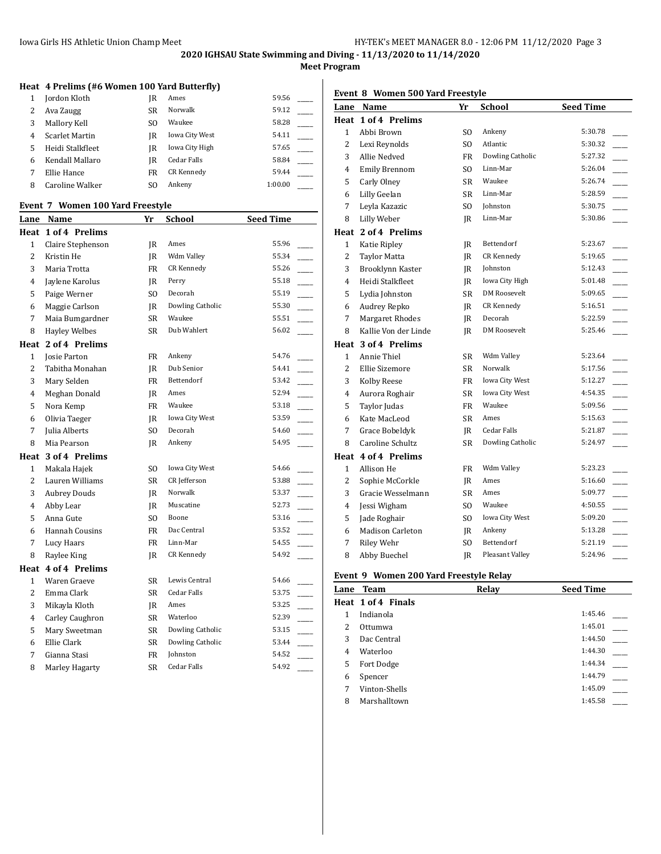**Meet Program**

## **Heat 4 Prelims (#6 Women 100 Yard Butterfly)**

|   | Jordon Kloth     | IR  | Ames           | 59.56   |  |
|---|------------------|-----|----------------|---------|--|
|   | Ava Zaugg        | SR  | Norwalk        | 59.12   |  |
|   | Mallory Kell     | SO. | Waukee         | 58.28   |  |
| 4 | Scarlet Martin   | IR  | Iowa City West | 54.11   |  |
|   | Heidi Stalkfleet | IR  | Iowa City High | 57.65   |  |
| 6 | Kendall Mallaro  | IR  | Cedar Falls    | 58.84   |  |
|   | Ellie Hance      | FR  | CR Kennedy     | 59.44   |  |
| 8 | Caroline Walker  | SO. | Ankeny         | 1:00.00 |  |

#### **Event 7 Women 100 Yard Freestyle**

| <u>Lane</u>    | Name                  | Yr             | <b>School</b>      | <b>Seed Time</b> |                |
|----------------|-----------------------|----------------|--------------------|------------------|----------------|
| Heat           | 1 of 4 Prelims        |                |                    |                  |                |
| $\mathbf{1}$   | Claire Stephenson     | JR.            | Ames               | 55.96            |                |
| $\overline{2}$ | Kristin He            | JR.            | Wdm Valley         | 55.34            |                |
| 3              | Maria Trotta          | <b>FR</b>      | CR Kennedy         | 55.26            |                |
| 4              | Jaylene Karolus       | IR             | Perry              | 55.18            |                |
| 5              | Paige Werner          | SO.            | Decorah            | 55.19            |                |
| 6              | Maggie Carlson        | JR             | Dowling Catholic   | 55.30            |                |
| 7              | Maia Bumgardner       | <b>SR</b>      | Waukee             | 55.51            |                |
| 8              | <b>Hayley Welbes</b>  | <b>SR</b>      | Dub Wahlert        | 56.02            |                |
|                | Heat 2 of 4 Prelims   |                |                    |                  |                |
| $\mathbf{1}$   | Josie Parton          | <b>FR</b>      | Ankeny             | 54.76            |                |
| $\overline{2}$ | Tabitha Monahan       | JR             | Dub Senior         | 54.41            |                |
| 3              | Mary Selden           | <b>FR</b>      | Bettendorf         | 53.42            | $\overline{a}$ |
| 4              | Meghan Donald         | IR             | Ames               | 52.94            |                |
| 5              | Nora Kemp             | FR             | Waukee             | 53.18            |                |
| 6              | Olivia Taeger         | IR             | Iowa City West     | 53.59            |                |
| 7              | Julia Alberts         | SO.            | Decorah            | 54.60            |                |
| 8              | Mia Pearson           | JR             | Ankeny             | 54.95            |                |
|                | Heat 3 of 4 Prelims   |                |                    |                  |                |
| 1              | Makala Hajek          | SO.            | Iowa City West     | 54.66            |                |
| 2              | Lauren Williams       | <b>SR</b>      | CR Jefferson       | 53.88            |                |
| 3              | <b>Aubrey Douds</b>   | JR.            | Norwalk            | 53.37            |                |
| 4              | Abby Lear             | IR             | Muscatine          | 52.73            |                |
| 5              | Anna Gute             | S <sub>O</sub> | Boone              | 53.16            |                |
| 6              | <b>Hannah Cousins</b> | FR             | Dac Central        | 53.52            |                |
| 7              | Lucy Haars            | FR             | Linn-Mar           | 54.55            |                |
| 8              | Raylee King           | IR             | <b>CR Kennedy</b>  | 54.92            |                |
|                | Heat 4 of 4 Prelims   |                |                    |                  |                |
| 1              | Waren Graeve          | <b>SR</b>      | Lewis Central      | 54.66            |                |
| 2              | Emma Clark            | <b>SR</b>      | <b>Cedar Falls</b> | 53.75            |                |
| 3              | Mikayla Kloth         | JR             | Ames               | 53.25            |                |
| 4              | Carley Caughron       | <b>SR</b>      | Waterloo           | 52.39            |                |
| 5              | Mary Sweetman         | SR             | Dowling Catholic   | 53.15            |                |
| 6              | Ellie Clark           | SR             | Dowling Catholic   | 53.44            |                |
| 7              | Gianna Stasi          | FR             | <b>Iohnston</b>    | 54.52            |                |
| 8              | Marley Hagarty        | <b>SR</b>      | Cedar Falls        | 54.92            |                |

## **Event 8 Women 500 Yard Freestyle**

| Lane         | <b>Name</b>             | Yr             | <b>School</b>         | <b>Seed Time</b> |  |
|--------------|-------------------------|----------------|-----------------------|------------------|--|
| Heat         | 1 of 4 Prelims          |                |                       |                  |  |
| $\mathbf{1}$ | Abbi Brown              | SO.            | Ankeny                | 5:30.78          |  |
| 2            | Lexi Reynolds           | SO.            | Atlantic              | 5:30.32          |  |
| 3            | Allie Nedved            | <b>FR</b>      | Dowling Catholic      | 5:27.32          |  |
| 4            | <b>Emily Brennom</b>    | SO.            | Linn-Mar              | 5:26.04          |  |
| 5            | Carly Olney             | <b>SR</b>      | Waukee                | 5:26.74          |  |
| 6            | Lilly Geelan            | <b>SR</b>      | Linn-Mar              | 5:28.59          |  |
| 7            | Leyla Kazazic           | S <sub>O</sub> | Johnston              | 5:30.75          |  |
| 8            | Lilly Weber             | IR             | Linn-Mar              | 5:30.86          |  |
|              | Heat 2 of 4 Prelims     |                |                       |                  |  |
| 1            | Katie Ripley            | JR             | Bettendorf            | 5:23.67          |  |
| 2            | <b>Taylor Matta</b>     | JR             | CR Kennedy            | 5:19.65          |  |
| 3            | <b>Brooklynn Kaster</b> | <b>IR</b>      | Johnston              | 5:12.43          |  |
| 4            | Heidi Stalkfleet        | JR             | Iowa City High        | 5:01.48          |  |
| 5            | Lydia Johnston          | <b>SR</b>      | <b>DM Roosevelt</b>   | 5:09.65          |  |
| 6            | Audrey Repko            | JR             | CR Kennedy            | 5:16.51          |  |
| 7            | Margaret Rhodes         | JR             | Decorah               | 5:22.59          |  |
| 8            | Kallie Von der Linde    | <b>IR</b>      | <b>DM Roosevelt</b>   | 5:25.46          |  |
|              | Heat 3 of 4 Prelims     |                |                       |                  |  |
| $\mathbf{1}$ | Annie Thiel             | SR             | Wdm Valley            | 5:23.64          |  |
| 2            | Ellie Sizemore          | SR             | Norwalk               | 5:17.56          |  |
| 3            | <b>Kolby Reese</b>      | FR             | Iowa City West        | 5:12.27          |  |
| 4            | Aurora Roghair          | SR             | <b>Iowa City West</b> | 4:54.35          |  |
| 5            | Taylor Judas            | <b>FR</b>      | Waukee                | 5:09.56          |  |
| 6            | Kate MacLeod            | SR             | Ames                  | 5:15.63          |  |
| 7            | Grace Bobeldyk          | IR             | Cedar Falls           | 5:21.87          |  |
| 8            | Caroline Schultz        | <b>SR</b>      | Dowling Catholic      | 5:24.97          |  |
|              | Heat 4 of 4 Prelims     |                |                       |                  |  |
| 1            | Allison He              | <b>FR</b>      | Wdm Valley            | 5:23.23          |  |
| 2            | Sophie McCorkle         | IR             | Ames                  | 5:16.60          |  |
| 3            | Gracie Wesselmann       | SR             | Ames                  | 5:09.77          |  |
| 4            | Jessi Wigham            | SO.            | Waukee                | 4:50.55          |  |
| 5            | Jade Roghair            | SO.            | Iowa City West        | 5:09.20          |  |
| 6            | Madison Carleton        | JR             | Ankeny                | 5:13.28          |  |
| 7            | <b>Riley Wehr</b>       | S <sub>O</sub> | Bettendorf            | 5:21.19          |  |
| 8            | Abby Buechel            | JR             | Pleasant Valley       | 5:24.96          |  |

#### **Event 9 Women 200 Yard Freestyle Relay**

| Lane | <b>Team</b>        | Relay | <b>Seed Time</b> |
|------|--------------------|-------|------------------|
|      | Heat 1 of 4 Finals |       |                  |
| 1    | Indianola          |       | 1:45.46          |
| 2    | Ottumwa            |       | 1:45.01          |
| 3    | Dac Central        |       | 1:44.50          |
| 4    | Waterloo           |       | 1:44.30          |
| 5    | Fort Dodge         |       | 1:44.34          |
| 6    | Spencer            |       | 1:44.79          |
| 7    | Vinton-Shells      |       | 1:45.09          |
| 8    | Marshalltown       |       | 1:45.58          |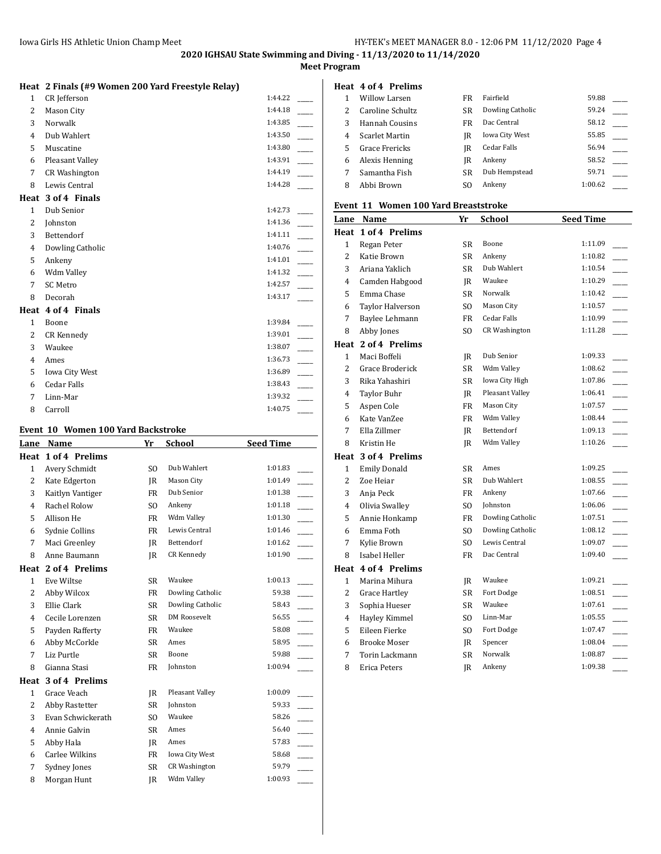## **Meet Program**

|                | Heat 2 Finals (#9 Women 200 Yard Freestyle Relay) |         |
|----------------|---------------------------------------------------|---------|
| $\mathbf{1}$   | CR Jefferson                                      | 1:44.22 |
| 2              | Mason City                                        | 1:44.18 |
| 3              | Norwalk                                           | 1:43.85 |
| 4              | Dub Wahlert                                       | 1:43.50 |
| 5              | Muscatine                                         | 1:43.80 |
| 6              | Pleasant Valley                                   | 1:43.91 |
| 7              | <b>CR Washington</b>                              | 1:44.19 |
| 8              | Lewis Central                                     | 1:44.28 |
|                | Heat 3 of 4 Finals                                |         |
| $\mathbf{1}$   | Dub Senior                                        | 1:42.73 |
| $\overline{2}$ | Johnston                                          | 1:41.36 |
| 3              | Bettendorf                                        | 1:41.11 |
| $\overline{4}$ | Dowling Catholic                                  | 1:40.76 |
| 5              | Ankeny                                            | 1:41.01 |
| 6              | Wdm Valley                                        | 1:41.32 |
| 7              | <b>SC Metro</b>                                   | 1:42.57 |
| 8              | Decorah                                           | 1:43.17 |
|                | Heat 4 of 4 Finals                                |         |
| 1              | Boone                                             | 1:39.84 |
| $\overline{2}$ | CR Kennedy                                        | 1:39.01 |
| 3              | Waukee                                            | 1:38.07 |
| 4              | Ames                                              | 1:36.73 |
| 5              | <b>Iowa City West</b>                             | 1:36.89 |
| 6              | <b>Cedar Falls</b>                                | 1:38.43 |
| 7              | Linn-Mar                                          | 1:39.32 |
| 8              | Carroll                                           | 1:40.75 |

#### **Event 10 Women 100 Yard Backstroke**

| Lane           | Name                | Yr        | <b>School</b>        | <b>Seed Time</b> |  |
|----------------|---------------------|-----------|----------------------|------------------|--|
| Heat           | 1 of 4 Prelims      |           |                      |                  |  |
| $\mathbf{1}$   | Avery Schmidt       | SO.       | Dub Wahlert          | 1:01.83          |  |
| $\overline{2}$ | Kate Edgerton       | IR        | Mason City           | 1:01.49          |  |
| 3              | Kaitlyn Vantiger    | <b>FR</b> | Dub Senior           | 1:01.38          |  |
| 4              | Rachel Rolow        | SO.       | Ankeny               | 1:01.18          |  |
| 5              | Allison He          | FR        | Wdm Valley           | 1:01.30          |  |
| 6              | Sydnie Collins      | <b>FR</b> | Lewis Central        | 1:01.46          |  |
| 7              | Maci Greenley       | IR        | Bettendorf           | 1:01.62          |  |
| 8              | Anne Baumann        | IR        | CR Kennedy           | 1:01.90          |  |
|                | Heat 2 of 4 Prelims |           |                      |                  |  |
| $\mathbf{1}$   | Eve Wiltse          | <b>SR</b> | Waukee               | 1:00.13          |  |
| 2              | Abby Wilcox         | FR        | Dowling Catholic     | 59.38            |  |
| 3              | Ellie Clark         | <b>SR</b> | Dowling Catholic     | 58.43            |  |
| 4              | Cecile Lorenzen     | SR        | <b>DM Roosevelt</b>  | 56.55            |  |
| 5              | Payden Rafferty     | FR        | Waukee               | 58.08            |  |
| 6              | Abby McCorkle       | SR        | Ames                 | 58.95            |  |
| 7              | Liz Purtle          | SR        | Boone                | 59.88            |  |
| 8              | Gianna Stasi        | FR        | Johnston             | 1:00.94          |  |
| Heat           | 3 of 4 Prelims      |           |                      |                  |  |
| $\mathbf{1}$   | Grace Veach         | IR        | Pleasant Valley      | 1:00.09          |  |
| 2              | Abby Rastetter      | SR        | Johnston             | 59.33            |  |
| 3              | Evan Schwickerath   | SO.       | Waukee               | 58.26            |  |
| $\overline{4}$ | Annie Galvin        | <b>SR</b> | Ames                 | 56.40            |  |
| 5              | Abby Hala           | IR        | Ames                 | 57.83            |  |
| 6              | Carlee Wilkins      | FR        | Iowa City West       | 58.68            |  |
| 7              | Sydney Jones        | <b>SR</b> | <b>CR Washington</b> | 59.79            |  |
| 8              | Morgan Hunt         | IR.       | Wdm Valley           | 1:00.93          |  |
|                |                     |           |                      |                  |  |

|               | Heat 4 of 4 Prelims |           |                       |         |  |
|---------------|---------------------|-----------|-----------------------|---------|--|
|               | Willow Larsen       | <b>FR</b> | Fairfield             | 59.88   |  |
| $\mathcal{L}$ | Caroline Schultz    | SR        | Dowling Catholic      | 59.24   |  |
| 3             | Hannah Cousins      | FR        | Dac Central           | 58.12   |  |
| 4             | Scarlet Martin      | IR        | <b>Iowa City West</b> | 55.85   |  |
| 5.            | Grace Frericks      | IR        | Cedar Falls           | 56.94   |  |
| 6             | Alexis Henning      | IR        | Ankeny                | 58.52   |  |
| 7             | Samantha Fish       | SR        | Dub Hempstead         | 59.71   |  |
| 8             | Abbi Brown          | SΟ        | Ankeny                | 1:00.62 |  |

## **Event 11 Women 100 Yard Breaststroke**

| Lane           | Name                | Yr             | School               | <b>Seed Time</b> |
|----------------|---------------------|----------------|----------------------|------------------|
|                | Heat 1 of 4 Prelims |                |                      |                  |
| $\mathbf{1}$   | Regan Peter         | SR             | Boone                | 1:11.09          |
| 2              | Katie Brown         | SR             | Ankeny               | 1:10.82          |
| 3              | Ariana Yaklich      | SR             | Dub Wahlert          | 1:10.54          |
| $\overline{4}$ | Camden Habgood      | IR             | Waukee               | 1:10.29          |
| 5              | Emma Chase          | SR             | Norwalk              | 1:10.42          |
| 6              | Taylor Halverson    | SO.            | Mason City           | 1:10.57          |
| 7              | Baylee Lehmann      | <b>FR</b>      | Cedar Falls          | 1:10.99          |
| 8              | Abby Jones          | SO.            | <b>CR Washington</b> | 1:11.28          |
|                | Heat 2 of 4 Prelims |                |                      |                  |
| $\mathbf{1}$   | Maci Boffeli        | JR             | Dub Senior           | 1:09.33          |
| 2              | Grace Broderick     | SR             | Wdm Valley           | 1:08.62          |
| 3              | Rika Yahashiri      | SR             | Iowa City High       | 1:07.86          |
| 4              | <b>Taylor Buhr</b>  | JR             | Pleasant Valley      | 1:06.41          |
| 5              | Aspen Cole          | <b>FR</b>      | Mason City           | 1:07.57          |
| 6              | Kate VanZee         | <b>FR</b>      | Wdm Valley           | 1:08.44          |
| 7              | Ella Zillmer        | JR             | Bettendorf           | 1:09.13          |
| 8              | Kristin He          | JR             | Wdm Valley           | 1:10.26          |
|                | Heat 3 of 4 Prelims |                |                      |                  |
| $\mathbf{1}$   | <b>Emily Donald</b> | SR             | Ames                 | 1:09.25          |
| 2              | Zoe Heiar           | SR             | Dub Wahlert          | 1:08.55          |
| 3              | Anja Peck           | FR             | Ankeny               | 1:07.66          |
| $\overline{4}$ | Olivia Swalley      | SO.            | Johnston             | 1:06.06          |
| 5              | Annie Honkamp       | FR             | Dowling Catholic     | 1:07.51          |
| 6              | Emma Foth           | SO.            | Dowling Catholic     | 1:08.12          |
| 7              | Kylie Brown         | SO.            | Lewis Central        | 1:09.07          |
| 8              | Isabel Heller       | <b>FR</b>      | Dac Central          | 1:09.40          |
|                | Heat 4 of 4 Prelims |                |                      |                  |
| $\mathbf{1}$   | Marina Mihura       | JR             | Waukee               | 1:09.21          |
| 2              | Grace Hartley       | SR             | Fort Dodge           | 1:08.51          |
| 3              | Sophia Hueser       | SR             | Waukee               | 1:07.61          |
| 4              | Hayley Kimmel       | SO.            | Linn-Mar             | 1:05.55          |
| 5              | Eileen Fierke       | S <sub>O</sub> | Fort Dodge           | 1:07.47          |
| 6              | <b>Brooke Moser</b> | JR             | Spencer              | 1:08.04          |
| 7              | Torin Lackmann      | <b>SR</b>      | Norwalk              | 1:08.87          |
| 8              | Erica Peters        | JR             | Ankeny               | 1:09.38          |